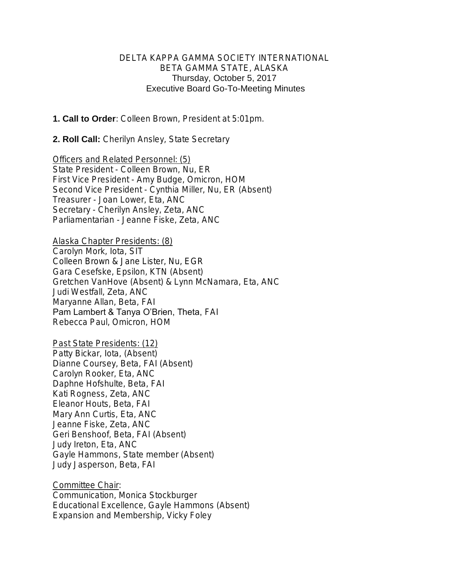#### DELTA KAPPA GAMMA SOCIETY INTERNATIONAL BETA GAMMA STATE, ALASKA Thursday, October 5, 2017 Executive Board Go-To-Meeting Minutes

1. Call to Order: Colleen Brown, President at 5:01pm.

2. Roll Call: Cherilyn Ansley, State Secretary

Officers and Related Personnel: (5) State President - Colleen Brown, Nu, ER First Vice President - Amy Budge, Omicron, HOM Second Vice President - Cynthia Miller, Nu, ER (Absent) Treasurer - Joan Lower, Eta, ANC Secretary - Cherilyn Ansley, Zeta, ANC Parliamentarian - Jeanne Fiske, Zeta, ANC

Alaska Chapter Presidents: (8) Carolyn Mork, Iota, SIT Colleen Brown & Jane Lister, Nu, EGR Gara Cesefske, Epsilon, KTN (Absent) Gretchen VanHove (Absent) & Lynn McNamara, Eta, ANC Judi Westfall, Zeta, ANC Maryanne Allan, Beta, FAI Pam Lambert & Tanya O'Brien, Theta, FAI Rebecca Paul, Omicron, HOM

Past State Presidents: (12) Patty Bickar, Iota, (Absent) Dianne Coursey, Beta, FAI (Absent) Carolyn Rooker, Eta, ANC Daphne Hofshulte, Beta, FAI Kati Rogness, Zeta, ANC Eleanor Houts, Beta, FAI Mary Ann Curtis, Eta, ANC Jeanne Fiske, Zeta, ANC Geri Benshoof, Beta, FAI (Absent) Judy Ireton, Eta, ANC Gayle Hammons, State member (Absent) Judy Jasperson, Beta, FAI

Committee Chair: Communication, Monica Stockburger Educational Excellence, Gayle Hammons (Absent) Expansion and Membership, Vicky Foley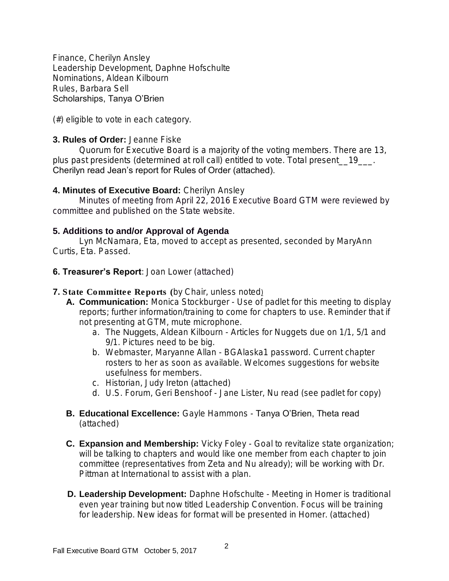Finance, Cherilyn Ansley Leadership Development, Daphne Hofschulte Nominations, Aldean Kilbourn Rules, Barbara Sell Scholarships, Tanya O'Brien

(#) eligible to vote in each category.

## 3. Rules of Order: Jeanne Fiske

Quorum for Executive Board is a majority of the voting members. There are 13, plus past presidents (determined at roll call) entitled to vote. Total present 19 Cherilyn read Jean's report for Rules of Order (attached).

### 4. Minutes of Executive Board: Cherilyn Ansley

 Minutes of meeting from April 22, 2016 Executive Board GTM were reviewed by committee and published on the State website.

## 5. Additions to and/or Approval of Agenda

Lyn McNamara, Eta, moved to accept as presented, seconded by MaryAnn Curtis, Eta. Passed.

## **6. Treasurer's Report:** Joan Lower (attached)

- 7. *State Committee Reports (*by Chair, unless noted)
	- A. Communication: Monica Stockburger Use of padlet for this meeting to display reports; further information/training to come for chapters to use. Reminder that if not presenting at GTM, mute microphone.
		- a. The *Nuggets,* Aldean Kilbourn Articles for Nuggets due on 1/1, 5/1 and 9/1. Pictures need to be big.
		- b. Webmaster, Maryanne Allan BGAlaska1 password. Current chapter rosters to her as soon as available. Welcomes suggestions for website usefulness for members.
		- c. Historian, Judy Ireton (attached)
		- d. U.S. Forum, Geri Benshoof Jane Lister, Nu read (see padlet for copy)
	- B. Educational Excellence: Gayle Hammons Tanya O'Brien, Theta read (attached)
	- C. Expansion and Membership: Vicky Foley Goal to revitalize state organization; will be talking to chapters and would like one member from each chapter to join committee (representatives from Zeta and Nu already); will be working with Dr. Pittman at International to assist with a plan.
	- D. Leadership Development: Daphne Hofschulte Meeting in Homer is traditional even year training but now titled Leadership Convention. Focus will be training for leadership. New ideas for format will be presented in Homer. (attached)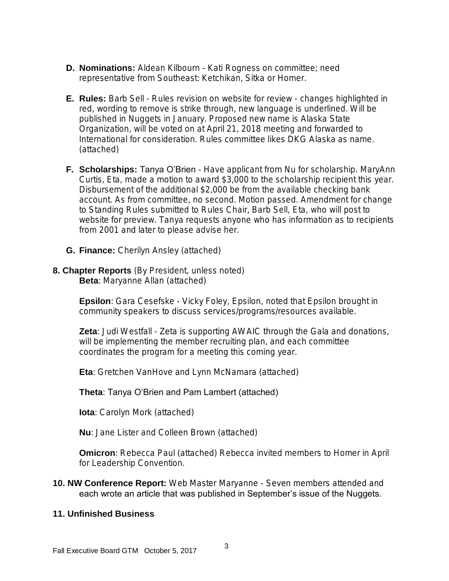- D. Nominations: Aldean Kilbourn Kati Rogness on committee; need representative from Southeast: Ketchikan, Sitka or Homer.
- **E. Rules:** Barb Sell Rules revision on website for review changes highlighted in red, wording to remove is strike through, new language is underlined. Will be published in Nuggets in January. Proposed new name is Alaska State Organization, will be voted on at April 21, 2018 meeting and forwarded to International for consideration. Rules committee likes DKG Alaska as name. (attached)
- F. Scholarships: Tanya O'Brien Have applicant from Nu for scholarship. MaryAnn Curtis, Eta, made a motion to award \$3,000 to the scholarship recipient this year. Disbursement of the additional \$2,000 be from the available checking bank account. As from committee, no second. Motion passed. Amendment for change to Standing Rules submitted to Rules Chair, Barb Sell, Eta, who will post to website for preview. Tanya requests anyone who has information as to recipients from 2001 and later to please advise her.
- G. Finance: Cherilyn Ansley (attached)
- 8. Chapter Reports (By President, unless noted) Beta: Maryanne Allan (attached)

Epsilon: Gara Cesefske - Vicky Foley, Epsilon, noted that Epsilon brought in community speakers to discuss services/programs/resources available.

Zeta: Judi Westfall - Zeta is supporting AWAIC through the Gala and donations, will be implementing the member recruiting plan, and each committee coordinates the program for a meeting this coming year.

Eta: Gretchen VanHove and Lynn McNamara (attached)

#### Theta: Tanya O'Brien and Pam Lambert (attached)

Iota: Carolyn Mork (attached)

Nu: Jane Lister and Colleen Brown (attached)

Omicron: Rebecca Paul (attached) Rebecca invited members to Homer in April for Leadership Convention.

10. NW Conference Report: Web Master Maryanne - Seven members attended and each wrote an article that was published in September's issue of the Nuggets.

#### 11. Unfinished Business